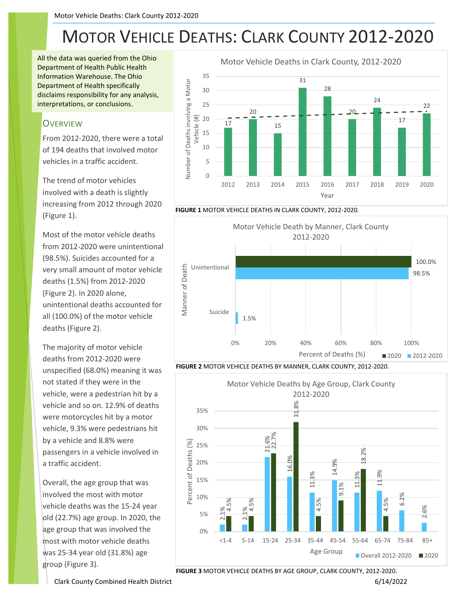## MOTOR VEHICLE DEATHS: CLARK COUNTY 2012-2020

All the data was queried from the Ohio Department of Health Public Health Information Warehouse. The Ohio Department of Health specifically disclaims responsibility for any analysis, interpretations, or conclusions.

## **OVERVIEW**

From 2012-2020, there were a total of 194 deaths that involved motor vehicles in a traffic accident.

The trend of motor vehicles involved with a death is slightly increasing from 2012 through 2020 (Figure 1).

Most of the motor vehicle deaths from 2012-2020 were unintentional (98.5%). Suicides accounted for a very small amount of motor vehicle deaths (1.5%) from 2012-2020 (Figure 2). In 2020 alone, unintentional deaths accounted for all (100.0%) of the motor vehicle deaths (Figure 2).

The majority of motor vehicle deaths from 2012-2020 were unspecified (68.0%) meaning it was not stated if they were in the vehicle, were a pedestrian hit by a vehicle and so on. 12.9% of deaths were motorcycles hit by a motor vehicle, 9.3% were pedestrians hit by a vehicle and 8.8% were passengers in a vehicle involved in a traffic accident.

Overall, the age group that was involved the most with motor vehicle deaths was the 15-24 year old (22.7%) age group. In 2020, the age group that was involved the most with motor vehicle deaths was 25-34 year old (31.8%) age group (Figure 3).











**FIGURE 3** MOTOR VEHICLE DEATHS BY AGE GROUP, CLARK COUNTY, 2012-2020.

Clark County Combined Health District 6/14/2022